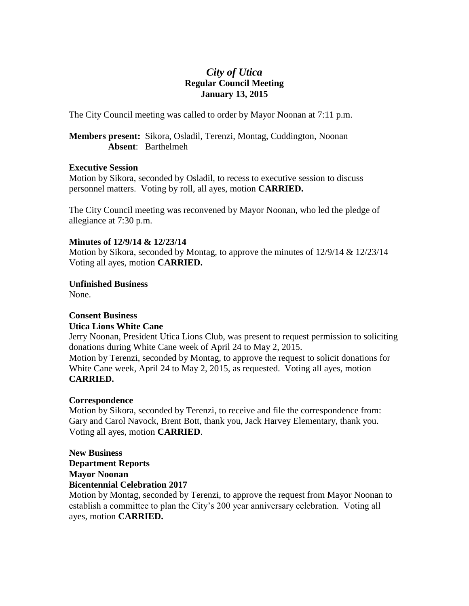# *City of Utica* **Regular Council Meeting January 13, 2015**

The City Council meeting was called to order by Mayor Noonan at 7:11 p.m.

**Members present:** Sikora, Osladil, Terenzi, Montag, Cuddington, Noonan **Absent**: Barthelmeh

## **Executive Session**

Motion by Sikora, seconded by Osladil, to recess to executive session to discuss personnel matters. Voting by roll, all ayes, motion **CARRIED.**

The City Council meeting was reconvened by Mayor Noonan, who led the pledge of allegiance at 7:30 p.m.

# **Minutes of 12/9/14 & 12/23/14**

Motion by Sikora, seconded by Montag, to approve the minutes of 12/9/14 & 12/23/14 Voting all ayes, motion **CARRIED.**

**Unfinished Business**

None.

# **Consent Business**

# **Utica Lions White Cane**

Jerry Noonan, President Utica Lions Club, was present to request permission to soliciting donations during White Cane week of April 24 to May 2, 2015.

Motion by Terenzi, seconded by Montag, to approve the request to solicit donations for White Cane week, April 24 to May 2, 2015, as requested. Voting all ayes, motion **CARRIED.**

# **Correspondence**

Motion by Sikora, seconded by Terenzi, to receive and file the correspondence from: Gary and Carol Navock, Brent Bott, thank you, Jack Harvey Elementary, thank you. Voting all ayes, motion **CARRIED**.

# **New Business Department Reports Mayor Noonan Bicentennial Celebration 2017**

Motion by Montag, seconded by Terenzi, to approve the request from Mayor Noonan to establish a committee to plan the City's 200 year anniversary celebration. Voting all ayes, motion **CARRIED.**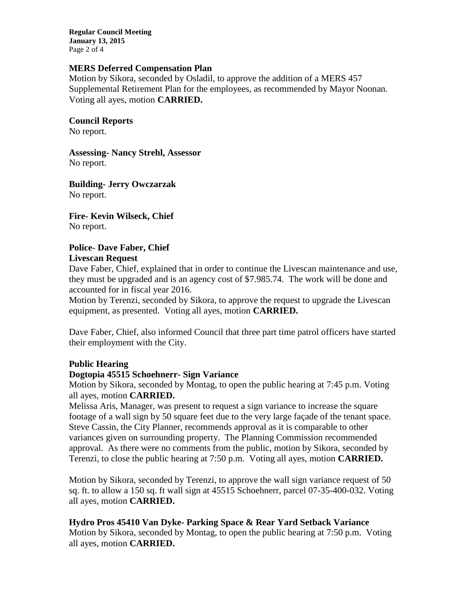**Regular Council Meeting January 13, 2015** Page 2 of 4

## **MERS Deferred Compensation Plan**

Motion by Sikora, seconded by Osladil, to approve the addition of a MERS 457 Supplemental Retirement Plan for the employees, as recommended by Mayor Noonan. Voting all ayes, motion **CARRIED.**

## **Council Reports**

No report.

**Assessing- Nancy Strehl, Assessor** No report.

**Building- Jerry Owczarzak** No report.

**Fire- Kevin Wilseck, Chief** No report.

# **Police- Dave Faber, Chief**

# **Livescan Request**

Dave Faber, Chief, explained that in order to continue the Livescan maintenance and use, they must be upgraded and is an agency cost of \$7.985.74. The work will be done and accounted for in fiscal year 2016.

Motion by Terenzi, seconded by Sikora, to approve the request to upgrade the Livescan equipment, as presented. Voting all ayes, motion **CARRIED.**

Dave Faber, Chief, also informed Council that three part time patrol officers have started their employment with the City.

# **Public Hearing**

### **Dogtopia 45515 Schoehnerr- Sign Variance**

Motion by Sikora, seconded by Montag, to open the public hearing at 7:45 p.m. Voting all ayes, motion **CARRIED.**

Melissa Aris, Manager, was present to request a sign variance to increase the square footage of a wall sign by 50 square feet due to the very large façade of the tenant space. Steve Cassin, the City Planner, recommends approval as it is comparable to other variances given on surrounding property. The Planning Commission recommended approval. As there were no comments from the public, motion by Sikora, seconded by Terenzi, to close the public hearing at 7:50 p.m. Voting all ayes, motion **CARRIED.**

Motion by Sikora, seconded by Terenzi, to approve the wall sign variance request of 50 sq. ft. to allow a 150 sq. ft wall sign at 45515 Schoehnerr, parcel 07-35-400-032. Voting all ayes, motion **CARRIED.**

# **Hydro Pros 45410 Van Dyke- Parking Space & Rear Yard Setback Variance**

Motion by Sikora, seconded by Montag, to open the public hearing at 7:50 p.m. Voting all ayes, motion **CARRIED.**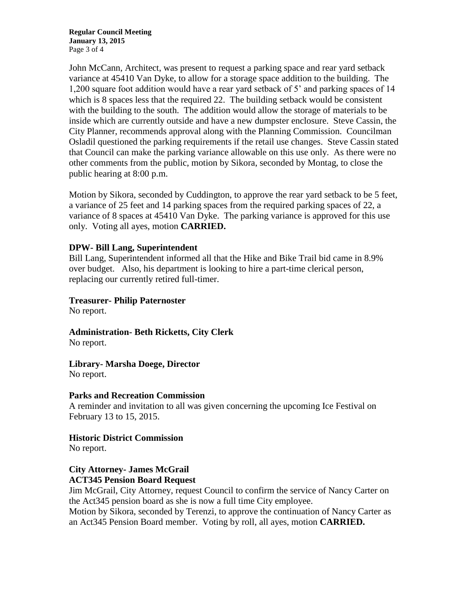**Regular Council Meeting January 13, 2015** Page 3 of 4

John McCann, Architect, was present to request a parking space and rear yard setback variance at 45410 Van Dyke, to allow for a storage space addition to the building. The 1,200 square foot addition would have a rear yard setback of 5' and parking spaces of 14 which is 8 spaces less that the required 22. The building setback would be consistent with the building to the south. The addition would allow the storage of materials to be inside which are currently outside and have a new dumpster enclosure. Steve Cassin, the City Planner, recommends approval along with the Planning Commission. Councilman Osladil questioned the parking requirements if the retail use changes. Steve Cassin stated that Council can make the parking variance allowable on this use only. As there were no other comments from the public, motion by Sikora, seconded by Montag, to close the public hearing at 8:00 p.m.

Motion by Sikora, seconded by Cuddington, to approve the rear yard setback to be 5 feet, a variance of 25 feet and 14 parking spaces from the required parking spaces of 22, a variance of 8 spaces at 45410 Van Dyke. The parking variance is approved for this use only. Voting all ayes, motion **CARRIED.**

#### **DPW- Bill Lang, Superintendent**

Bill Lang, Superintendent informed all that the Hike and Bike Trail bid came in 8.9% over budget. Also, his department is looking to hire a part-time clerical person, replacing our currently retired full-timer.

#### **Treasurer- Philip Paternoster**

No report.

**Administration- Beth Ricketts, City Clerk** No report.

**Library- Marsha Doege, Director** No report.

#### **Parks and Recreation Commission**

A reminder and invitation to all was given concerning the upcoming Ice Festival on February 13 to 15, 2015.

**Historic District Commission**

No report.

### **City Attorney- James McGrail ACT345 Pension Board Request**

Jim McGrail, City Attorney, request Council to confirm the service of Nancy Carter on the Act345 pension board as she is now a full time City employee.

Motion by Sikora, seconded by Terenzi, to approve the continuation of Nancy Carter as an Act345 Pension Board member. Voting by roll, all ayes, motion **CARRIED.**